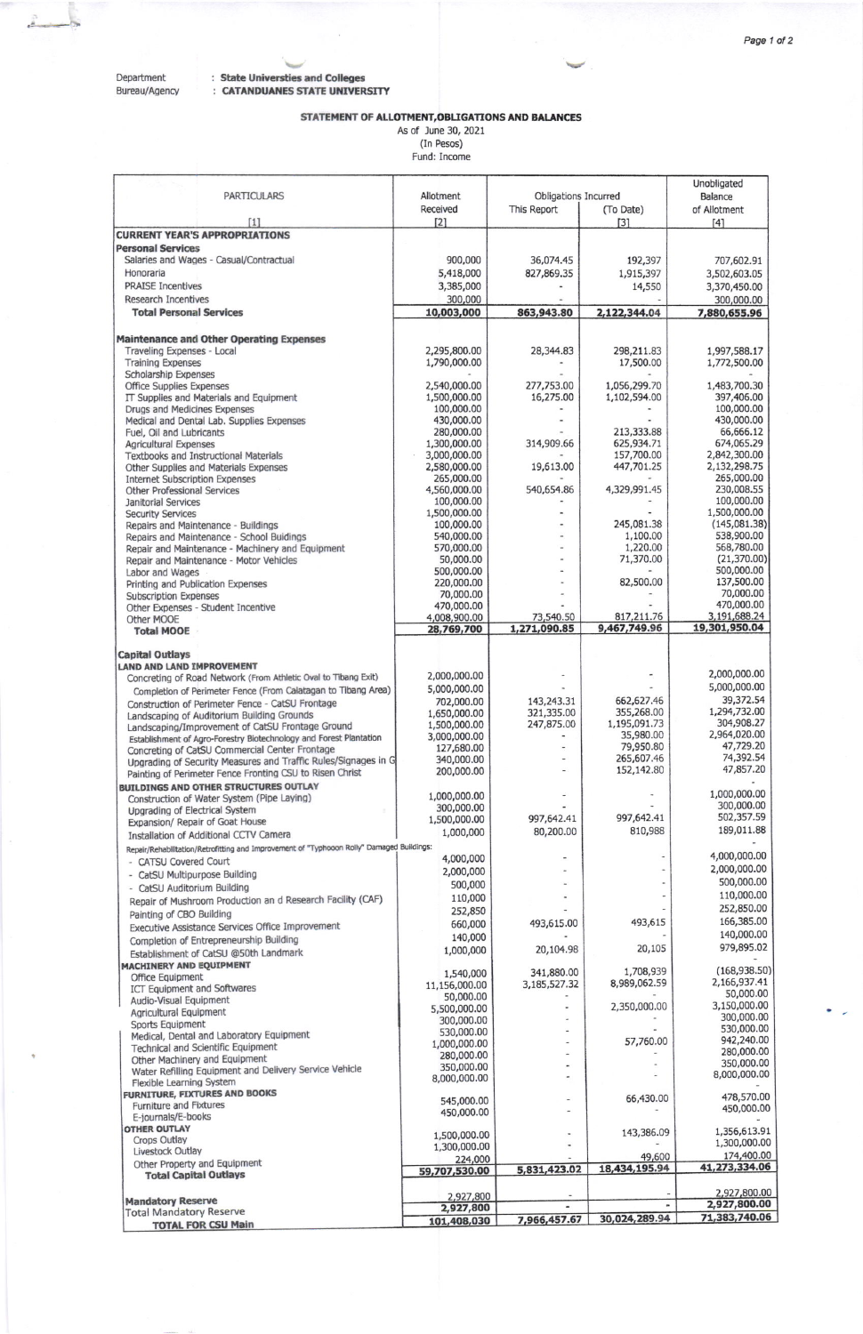Department Bureau/Agency

 $\frac{1}{2}$ 

: State Universties and Colleges<br>: CATANDUANES STATE UNIVERSITY

**Second** 

## **STATEMENT OF ALLOTMENT, OBLIGATIONS AND BALANCES**<br>As of June 30, 2021<br>(In Pesos)<br>Fund: Income

|                                                                                                                        |                              |                          |                            | Unobligated                |
|------------------------------------------------------------------------------------------------------------------------|------------------------------|--------------------------|----------------------------|----------------------------|
| <b>PARTICULARS</b>                                                                                                     | Allotment                    | Obligations Incurred     |                            | <b>Balance</b>             |
| [1]                                                                                                                    | Received<br>[2]              | This Report              | (To Date)<br>[3]           | of Allotment<br>[4]        |
| <b>CURRENT YEAR'S APPROPRIATIONS</b>                                                                                   |                              |                          |                            |                            |
| <b>Personal Services</b>                                                                                               |                              |                          |                            |                            |
| Salaries and Wages - Casual/Contractual                                                                                | 900,000                      | 36,074.45                | 192,397                    | 707,602.91                 |
| Honoraria                                                                                                              | 5,418,000                    | 827,869.35               | 1,915,397                  | 3,502,603.05               |
| <b>PRAISE Incentives</b>                                                                                               | 3,385,000                    |                          | 14,550                     | 3,370,450.00               |
| Research Incentives<br><b>Total Personal Services</b>                                                                  | 300,000<br>10,003,000        | 863,943.80               | 2,122,344.04               | 300,000.00<br>7,880,655.96 |
|                                                                                                                        |                              |                          |                            |                            |
| <b>Maintenance and Other Operating Expenses</b>                                                                        |                              |                          |                            |                            |
| Traveling Expenses - Local                                                                                             | 2,295,800.00                 | 28,344.83                | 298,211.83                 | 1,997,588.17               |
| <b>Training Expenses</b>                                                                                               | 1,790,000.00                 |                          | 17,500.00                  | 1,772,500.00               |
| Scholarship Expenses<br><b>Office Supplies Expenses</b>                                                                | 2,540,000.00                 | 277,753.00               | 1,056,299.70               | 1,483,700.30               |
| IT Supplies and Materials and Equipment                                                                                | 1,500,000.00                 | 16,275.00                | 1,102,594.00               | 397,406.00                 |
| Drugs and Medicines Expenses                                                                                           | 100,000.00                   |                          |                            | 100,000.00                 |
| Medical and Dental Lab. Supplies Expenses                                                                              | 430,000.00<br>280,000.00     |                          | 213,333.88                 | 430,000.00<br>66,666.12    |
| Fuel, Oil and Lubricants<br><b>Agricultural Expenses</b>                                                               | 1,300,000.00                 | 314,909.66               | 625,934.71                 | 674,065.29                 |
| <b>Textbooks and Instructional Materials</b>                                                                           | 3,000,000.00                 |                          | 157,700.00                 | 2,842,300.00               |
| Other Supplies and Materials Expenses                                                                                  | 2,580,000.00                 | 19,613.00                | 447,701.25                 | 2,132,298.75               |
| <b>Internet Subscription Expenses</b><br><b>Other Professional Services</b>                                            | 265,000.00<br>4,560,000.00   | 540,654.86               | 4,329,991.45               | 265,000.00<br>230,008.55   |
| <b>Janitorial Services</b>                                                                                             | 100,000.00                   |                          |                            | 100,000.00                 |
| <b>Security Services</b>                                                                                               | 1,500,000.00                 |                          |                            | 1,500,000.00               |
| Repairs and Maintenance - Buildings                                                                                    | 100,000.00                   |                          | 245,081.38                 | (145,081.38)               |
| Repairs and Maintenance - School Buidings<br>Repair and Maintenance - Machinery and Equipment                          | 540,000.00<br>570,000.00     |                          | 1,100.00<br>1,220.00       | 538,900.00<br>568,780.00   |
| Repair and Maintenance - Motor Vehicles                                                                                | 50,000.00                    |                          | 71,370.00                  | (21, 370.00)               |
| Labor and Wages                                                                                                        | 500,000.00                   |                          |                            | 500,000.00                 |
| Printing and Publication Expenses                                                                                      | 220,000.00                   |                          | 82,500.00                  | 137,500.00                 |
| <b>Subscription Expenses</b>                                                                                           | 70,000.00<br>470,000.00      |                          |                            | 70,000.00<br>470,000.00    |
| Other Expenses - Student Incentive<br>Other MOOE                                                                       | 4,008,900.00                 | 73,540.50                | 817,211.76                 | 3,191,688.24               |
| <b>Total MOOE</b>                                                                                                      | 28,769,700                   | 1,271,090.85             | 9,467,749.96               | 19,301,950.04              |
|                                                                                                                        |                              |                          |                            |                            |
| <b>Capital Outlays</b><br><b>LAND AND LAND IMPROVEMENT</b>                                                             |                              |                          |                            |                            |
| Concreting of Road Network (From Athletic Oval to Tibang Exit)                                                         | 2,000,000.00                 |                          |                            | 2,000,000.00               |
| Completion of Perimeter Fence (From Calatagan to Tibang Area)                                                          | 5,000,000.00                 |                          |                            | 5,000,000.00               |
| Construction of Perimeter Fence - CatSU Frontage                                                                       | 702,000.00                   | 143,243.31               | 662,627.46                 | 39,372.54                  |
| Landscaping of Auditorium Building Grounds                                                                             | 1,650,000.00                 | 321,335.00<br>247,875.00 | 355,268.00<br>1,195,091.73 | 1,294,732.00<br>304,908.27 |
| Landscaping/Improvement of CatSU Frontage Ground<br>Establishment of Agro-Forestry Biotechnology and Forest Plantation | 1,500,000.00<br>3,000,000.00 |                          | 35,980.00                  | 2,964,020.00               |
| Concreting of CatSU Commercial Center Frontage                                                                         | 127,680.00                   |                          | 79,950.80                  | 47,729.20                  |
| Upgrading of Security Measures and Traffic Rules/Signages in G                                                         | 340,000.00                   |                          | 265,607.46                 | 74,392.54                  |
| Painting of Perimeter Fence Fronting CSU to Risen Christ                                                               | 200,000.00                   |                          | 152,142.80                 | 47,857.20                  |
| <b>BUILDINGS AND OTHER STRUCTURES OUTLAY</b>                                                                           | 1,000,000.00                 |                          |                            | 1,000,000.00               |
| Construction of Water System (Pipe Laying)<br>Upgrading of Electrical System                                           | 300,000.00                   |                          |                            | 300,000.00                 |
| Expansion/ Repair of Goat House                                                                                        | 1,500,000.00                 | 997,642.41               | 997,642.41                 | 502,357.59                 |
| Installation of Additional CCTV Camera                                                                                 | 1,000,000                    | 80,200.00                | 810,988                    | 189,011.88                 |
| Repair/Rehabilitation/Retrofitting and Improvement of "Typhooon Rolly" Damaged Buildings:                              |                              |                          |                            | 4,000,000.00               |
| - CATSU Covered Court                                                                                                  | 4,000,000<br>2,000,000       |                          |                            | 2,000,000.00               |
| - CatSU Multipurpose Building                                                                                          | 500,000                      |                          |                            | 500,000.00                 |
| - CatSU Auditorium Building<br>Repair of Mushroom Production an d Research Facility (CAF)                              | 110,000                      |                          |                            | 110,000.00                 |
| Painting of CBO Building                                                                                               | 252,850                      |                          |                            | 252,850.00                 |
| Executive Assistance Services Office Improvement                                                                       | 660,000                      | 493,615.00               | 493,615                    | 166,385.00                 |
| Completion of Entrepreneurship Building                                                                                | 140,000                      |                          |                            | 140,000.00                 |
| Establishment of CatSU @50th Landmark                                                                                  | 1,000,000                    | 20,104.98                | 20,105                     | 979,895.02                 |
| <b>MACHINERY AND EQUIPMENT</b>                                                                                         | 1,540,000                    | 341,880.00               | 1,708,939                  | (168, 938.50)              |
| Office Equipment                                                                                                       | 11,156,000.00                | 3,185,527.32             | 8,989,062.59               | 2,166,937.41               |
| ICT Equipment and Softwares<br>Audio-Visual Equipment                                                                  | 50,000.00                    |                          |                            | 50,000.00                  |
| Agricultural Equipment                                                                                                 | 5,500,000.00                 |                          | 2,350,000.00               | 3,150,000.00<br>300,000.00 |
| Sports Equipment                                                                                                       | 300,000.00<br>530,000.00     |                          |                            | 530,000.00                 |
| Medical, Dental and Laboratory Equipment                                                                               | 1,000,000.00                 |                          | 57,760.00                  | 942,240.00                 |
| <b>Technical and Scientific Equipment</b><br>Other Machinery and Equipment                                             | 280,000.00                   |                          |                            | 280,000.00                 |
| Water Refilling Equipment and Delivery Service Vehicle                                                                 | 350,000.00                   |                          |                            | 350,000.00<br>8,000,000.00 |
| Flexible Learning System                                                                                               | 8,000,000.00                 |                          |                            |                            |
| <b>FURNITURE, FIXTURES AND BOOKS</b>                                                                                   | 545,000.00                   |                          | 66,430.00                  | 478,570.00                 |
| <b>Furniture and Fixtures</b><br>E-journals/E-books                                                                    | 450,000.00                   |                          |                            | 450,000.00                 |
| <b>OTHER OUTLAY</b>                                                                                                    |                              |                          | 143,386.09                 | 1,356,613.91               |
| Crops Outlay                                                                                                           | 1,500,000.00<br>1,300,000.00 |                          |                            | 1,300,000.00               |
| Livestock Outlay                                                                                                       | 224,000                      |                          | 49,600                     | 174,400.00                 |
| Other Property and Equipment<br><b>Total Capital Outlays</b>                                                           | 59,707,530.00                | 5,831,423.02             | 18,434,195.94              | 41,273,334.06              |
|                                                                                                                        |                              |                          |                            | 2,927,800.00               |
| <b>Mandatory Reserve</b>                                                                                               | 2,927,800<br>2,927,800       |                          |                            | 2,927,800.00               |
| <b>Total Mandatory Reserve</b>                                                                                         | 101,408,030                  | 7,966,457.67             | 30,024,289.94              | 71,383,740.06              |
| <b>TOTAL FOR CSU Main</b>                                                                                              |                              |                          |                            |                            |

 $\overline{\phantom{a}}$